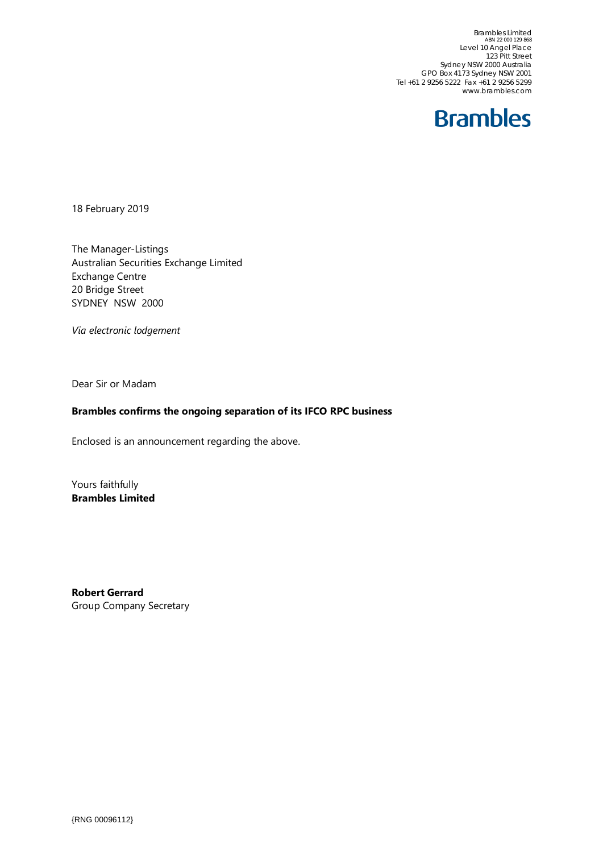Brambles Limited ABN 22 000 129 868 Level 10 Angel Place 123 Pitt Street Sydney NSW 2000 Australia GPO Box 4173 Sydney NSW 2001 Tel +61 2 9256 5222 Fax +61 2 9256 5299 www.brambles.com



18 February 2019

The Manager-Listings Australian Securities Exchange Limited Exchange Centre 20 Bridge Street SYDNEY NSW 2000

*Via electronic lodgement*

Dear Sir or Madam

## **Brambles confirms the ongoing separation of its IFCO RPC business**

Enclosed is an announcement regarding the above.

Yours faithfully **Brambles Limited**

**Robert Gerrard** Group Company Secretary